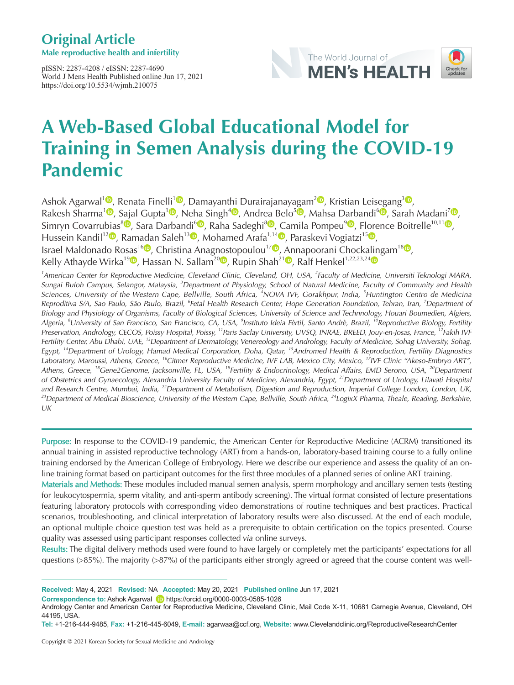## **Original Article**

**Male reproductive health and infertility**

pISSN: 2287-4208 / eISSN: 2287-4690 World J Mens Health Published online Jun 17, 2021 https://doi.org/10.5534/wjmh.210075





# **A Web-Based Global Educational Model for Training in Semen Analysis during the COVID-19 Pandemic**

Ashok Agarwal<sup>[1](https://orcid.org/0000-0003-0585-1026)</sup><sup>(1</sup>)[,](https://orcid.org/0000-0002-5926-6407) Renata Finelli<sup>1</sup><sup>(1</sup>), Damayanthi Durairajanayagam<sup>[2](https://orcid.org/0000-0001-9049-0215)</sup><sup>(1</sup>), Kristian Leisegang<sup>[3](https://orcid.org/0000-0002-3003-8048)</sup><sup>(1)</sup>, Rakesh Sharma<sup>1</sup><sup>®</sup>[,](https://orcid.org/0000-0002-2243-9319) Sajal Gupta<sup>1®</sup>, Neha Singh<sup>[4](https://orcid.org/0000-0002-7151-0273)®</sup>, Andrea Belo<sup>5®</sup>, Mahsa Darbandi<sup>6®</sup>, Sarah Madani<sup>[7](https://orcid.org/0000-0002-0887-0129)®</sup>, Simryn Covarrubias<sup>8</sup><sup>6</sup>[,](https://orcid.org/0000-0002-6311-8706) Sara Darbandi<sup>6</sup>, Raha Sadeghi<sup>8</sup><sup>6</sup>, Camila Pompeu<sup>[9](https://orcid.org/0000-0002-7111-9477)</sup><sup>6</sup>, Florence Boitrelle<sup>[1](https://orcid.org/0000-0002-5322-0141)0,11</sup><sup>6</sup>, Hussein Kandil<sup>12</sup><sup>(D</sup>[,](https://orcid.org/0000-0003-0107-8857) Ramadan Saleh<sup>13</sup><sup>(D</sup>, Mohamed Arafa<sup>1,14</sup><sup>(D</sup>, Paraskevi Vogiatzi<sup>1[5](https://orcid.org/0000-0001-9971-1619)</sup><sup>(D</sup>, Israel Maldonado Rosas<sup>1[6](https://orcid.org/0000-0003-2765-6176)</sup><sup>(b</sup>[,](https://orcid.org/0000-0003-0999-6484) Christina Anagnostopoulou<sup>17</sup><sup>(b</sup>, Annapoorani Chockalingam<sup>1[8](https://orcid.org/0000-0003-4219-087X)</sup><sup>(b</sup>, Kelly Athayde Wirka<sup>1[9](https://orcid.org/0000-0003-0731-9375)</sup><sup>D</sup>, Hassan N. Sallam<sup>2[0](https://orcid.org/0000-0003-1308-6280)</sup><sup>D</sup>[,](https://orcid.org/0000-0002-7868-5949) Rupin Shah<sup>21</sup><sup>D</sup>, Ralf Henkel<sup>1,22,23,2[4](https://orcid.org/0000-0003-1128-2982)</sup><sup>D</sup>

<sup>1</sup>American Center for Reproductive Medicine, Cleveland Clinic, Cleveland, OH, USA, <sup>2</sup>Faculty of Medicine, Universiti Teknologi MARA, Sungai Buloh Campus, Selangor, Malaysia, <sup>3</sup>Department of Physiology, School of Natural Medicine, Faculty of Community and Health Sciences, University of the Western Cape, Bellville, South Africa, <sup>4</sup>NOVA IVF, Gorakhpur, India, <sup>5</sup>Huntington Centro de Medicina Reproditiva S/A, Sao Paulo, São Paulo, Brazil, <sup>6</sup>Fetal Health Research Center, Hope Generation Foundation, Tehran, Iran, <sup>7</sup>Department of Biology and Physiology of Organisms, Faculty of Biological Sciences, University of Science and Technnology, Houari Boumedien, Algiers, Algeria, <sup>8</sup>University of San Francisco, San Francisco, CA, USA, <sup>9</sup>Instituto Ideia Fèrtil, Santo Andrè, Brazil, <sup>10</sup>Reproductive Biology, Fertility Preservation, Andrology, CECOS, Poissy Hospital, Poissy, <sup>11</sup>Paris Saclay University, UVSQ, INRAE, BREED, Jouy-en-Josas, France, <sup>12</sup>Fakih IVF Fertility Center, Abu Dhabi, UAE, <sup>13</sup>Department of Dermatology, Venereology and Andrology, Faculty of Medicine, Sohag University, Sohag, Egypt, <sup>14</sup>Department of Urology, Hamad Medical Corporation, Doha, Qatar, <sup>15</sup>Andromed Health & Reproduction, Fertility Diagnostics Laboratory, Maroussi, Athens, Greece, <sup>16</sup>Citmer Reproductive Medicine, IVF LAB, Mexico City, Mexico, <sup>17</sup>IVF Clinic "Akeso-Embryo ART", Athens, Greece, <sup>18</sup>Gene2Genome, Jacksonville, FL, USA, <sup>19</sup>Fertility & Endocrinology, Medical Affairs, EMD Serono, USA, <sup>20</sup>Department of Obstetrics and Gynaecology, Alexandria University Faculty of Medicine, Alexandria, Egypt, <sup>21</sup>Department of Urology, Lilavati Hospital and Research Centre, Mumbai, India, <sup>22</sup>Department of Metabolism, Digestion and Reproduction, Imperial College London, London, UK, <sup>23</sup>Department of Medical Bioscience, University of the Western Cape, Bellville, South Africa, <sup>24</sup>LogixX Pharma, Theale, Reading, Berkshire, UK

Purpose: In response to the COVID-19 pandemic, the American Center for Reproductive Medicine (ACRM) transitioned its annual training in assisted reproductive technology (ART) from a hands-on, laboratory-based training course to a fully online training endorsed by the American College of Embryology. Here we describe our experience and assess the quality of an online training format based on participant outcomes for the first three modules of a planned series of online ART training.

Materials and Methods: These modules included manual semen analysis, sperm morphology and ancillary semen tests (testing for leukocytospermia, sperm vitality, and anti-sperm antibody screening). The virtual format consisted of lecture presentations featuring laboratory protocols with corresponding video demonstrations of routine techniques and best practices. Practical scenarios, troubleshooting, and clinical interpretation of laboratory results were also discussed. At the end of each module, an optional multiple choice question test was held as a prerequisite to obtain certification on the topics presented. Course quality was assessed using participant responses collected via online surveys.

Results: The digital delivery methods used were found to have largely or completely met the participants' expectations for all questions (>85%). The majority (>87%) of the participants either strongly agreed or agreed that the course content was well-

**Correspondence to:** Ashok Agarwal **iD** https://orcid.org/0000-0003-0585-1026

**Received:** May 4, 2021 **Revised:** NA **Accepted:** May 20, 2021 **Published online** Jun 17, 2021

Andrology Center and American Center for Reproductive Medicine, Cleveland Clinic, Mail Code X-11, 10681 Carnegie Avenue, Cleveland, OH 44195, USA.

**Tel:** +1-216-444-9485, **Fax:** +1-216-445-6049, **E-mail:** agarwaa@ccf.org, **Website:** www.Clevelandclinic.org/ReproductiveResearchCenter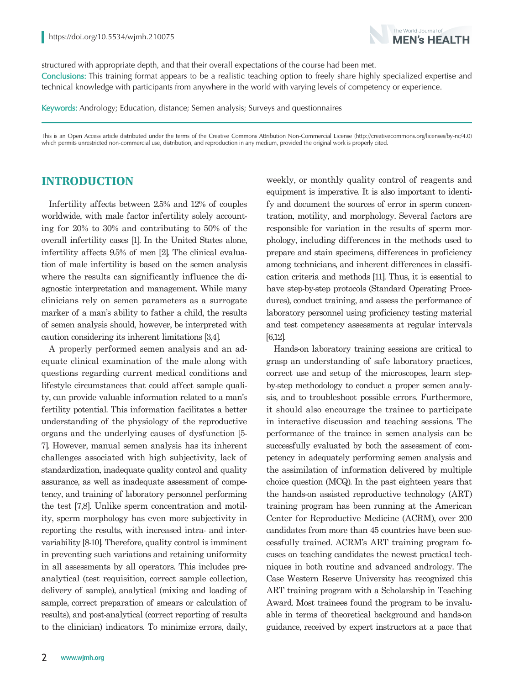

structured with appropriate depth, and that their overall expectations of the course had been met. Conclusions: This training format appears to be a realistic teaching option to freely share highly specialized expertise and technical knowledge with participants from anywhere in the world with varying levels of competency or experience.

Keywords: Andrology; Education, distance; Semen analysis; Surveys and questionnaires

This is an Open Access article distributed under the terms of the Creative Commons Attribution Non-Commercial License (http://creativecommons.org/licenses/by-nc/4.0) which permits unrestricted non-commercial use, distribution, and reproduction in any medium, provided the original work is properly cited.

## **INTRODUCTION**

Infertility affects between 2.5% and 12% of couples worldwide, with male factor infertility solely accounting for 20% to 30% and contributing to 50% of the overall infertility cases [1]. In the United States alone, infertility affects 9.5% of men [2]. The clinical evaluation of male infertility is based on the semen analysis where the results can significantly influence the diagnostic interpretation and management. While many clinicians rely on semen parameters as a surrogate marker of a man's ability to father a child, the results of semen analysis should, however, be interpreted with caution considering its inherent limitations [3,4].

A properly performed semen analysis and an adequate clinical examination of the male along with questions regarding current medical conditions and lifestyle circumstances that could affect sample quality, can provide valuable information related to a man's fertility potential. This information facilitates a better understanding of the physiology of the reproductive organs and the underlying causes of dysfunction [5- 7]. However, manual semen analysis has its inherent challenges associated with high subjectivity, lack of standardization, inadequate quality control and quality assurance, as well as inadequate assessment of competency, and training of laboratory personnel performing the test [7,8]. Unlike sperm concentration and motility, sperm morphology has even more subjectivity in reporting the results, with increased intra- and intervariability [8-10]. Therefore, quality control is imminent in preventing such variations and retaining uniformity in all assessments by all operators. This includes preanalytical (test requisition, correct sample collection, delivery of sample), analytical (mixing and loading of sample, correct preparation of smears or calculation of results), and post-analytical (correct reporting of results to the clinician) indicators. To minimize errors, daily, weekly, or monthly quality control of reagents and equipment is imperative. It is also important to identify and document the sources of error in sperm concentration, motility, and morphology. Several factors are responsible for variation in the results of sperm morphology, including differences in the methods used to prepare and stain specimens, differences in proficiency among technicians, and inherent differences in classification criteria and methods [11]. Thus, it is essential to have step-by-step protocols (Standard Operating Procedures), conduct training, and assess the performance of laboratory personnel using proficiency testing material and test competency assessments at regular intervals [6,12].

Hands-on laboratory training sessions are critical to grasp an understanding of safe laboratory practices, correct use and setup of the microscopes, learn stepby-step methodology to conduct a proper semen analysis, and to troubleshoot possible errors. Furthermore, it should also encourage the trainee to participate in interactive discussion and teaching sessions. The performance of the trainee in semen analysis can be successfully evaluated by both the assessment of competency in adequately performing semen analysis and the assimilation of information delivered by multiple choice question (MCQ). In the past eighteen years that the hands-on assisted reproductive technology (ART) training program has been running at the American Center for Reproductive Medicine (ACRM), over 200 candidates from more than 45 countries have been successfully trained. ACRM's ART training program focuses on teaching candidates the newest practical techniques in both routine and advanced andrology. The Case Western Reserve University has recognized this ART training program with a Scholarship in Teaching Award. Most trainees found the program to be invaluable in terms of theoretical background and hands-on guidance, received by expert instructors at a pace that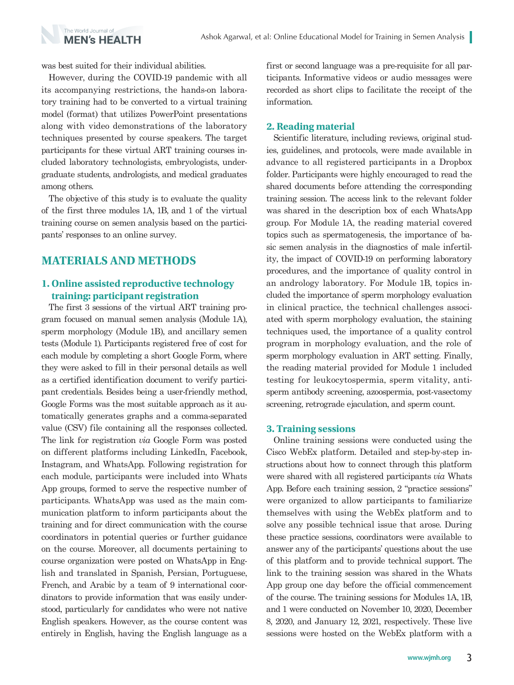

was best suited for their individual abilities.

However, during the COVID-19 pandemic with all its accompanying restrictions, the hands-on laboratory training had to be converted to a virtual training model (format) that utilizes PowerPoint presentations along with video demonstrations of the laboratory techniques presented by course speakers. The target participants for these virtual ART training courses included laboratory technologists, embryologists, undergraduate students, andrologists, and medical graduates among others.

The objective of this study is to evaluate the quality of the first three modules 1A, 1B, and 1 of the virtual training course on semen analysis based on the participants' responses to an online survey.

## **MATERIALS AND METHODS**

## **1. Online assisted reproductive technology training: participant registration**

The first 3 sessions of the virtual ART training program focused on manual semen analysis (Module 1A), sperm morphology (Module 1B), and ancillary semen tests (Module 1). Participants registered free of cost for each module by completing a short Google Form, where they were asked to fill in their personal details as well as a certified identification document to verify participant credentials. Besides being a user-friendly method, Google Forms was the most suitable approach as it automatically generates graphs and a comma-separated value (CSV) file containing all the responses collected. The link for registration *via* Google Form was posted on different platforms including LinkedIn, Facebook, Instagram, and WhatsApp. Following registration for each module, participants were included into Whats App groups, formed to serve the respective number of participants. WhatsApp was used as the main communication platform to inform participants about the training and for direct communication with the course coordinators in potential queries or further guidance on the course. Moreover, all documents pertaining to course organization were posted on WhatsApp in English and translated in Spanish, Persian, Portuguese, French, and Arabic by a team of 9 international coordinators to provide information that was easily understood, particularly for candidates who were not native English speakers. However, as the course content was entirely in English, having the English language as a

first or second language was a pre-requisite for all participants. Informative videos or audio messages were recorded as short clips to facilitate the receipt of the information.

#### **2. Reading material**

Scientific literature, including reviews, original studies, guidelines, and protocols, were made available in advance to all registered participants in a Dropbox folder. Participants were highly encouraged to read the shared documents before attending the corresponding training session. The access link to the relevant folder was shared in the description box of each WhatsApp group. For Module 1A, the reading material covered topics such as spermatogenesis, the importance of basic semen analysis in the diagnostics of male infertility, the impact of COVID-19 on performing laboratory procedures, and the importance of quality control in an andrology laboratory. For Module 1B, topics included the importance of sperm morphology evaluation in clinical practice, the technical challenges associated with sperm morphology evaluation, the staining techniques used, the importance of a quality control program in morphology evaluation, and the role of sperm morphology evaluation in ART setting. Finally, the reading material provided for Module 1 included testing for leukocytospermia, sperm vitality, antisperm antibody screening, azoospermia, post-vasectomy screening, retrograde ejaculation, and sperm count.

#### **3. Training sessions**

Online training sessions were conducted using the Cisco WebEx platform. Detailed and step-by-step instructions about how to connect through this platform were shared with all registered participants *via* Whats App. Before each training session, 2 "practice sessions" were organized to allow participants to familiarize themselves with using the WebEx platform and to solve any possible technical issue that arose. During these practice sessions, coordinators were available to answer any of the participants' questions about the use of this platform and to provide technical support. The link to the training session was shared in the Whats App group one day before the official commencement of the course. The training sessions for Modules 1A, 1B, and 1 were conducted on November 10, 2020, December 8, 2020, and January 12, 2021, respectively. These live sessions were hosted on the WebEx platform with a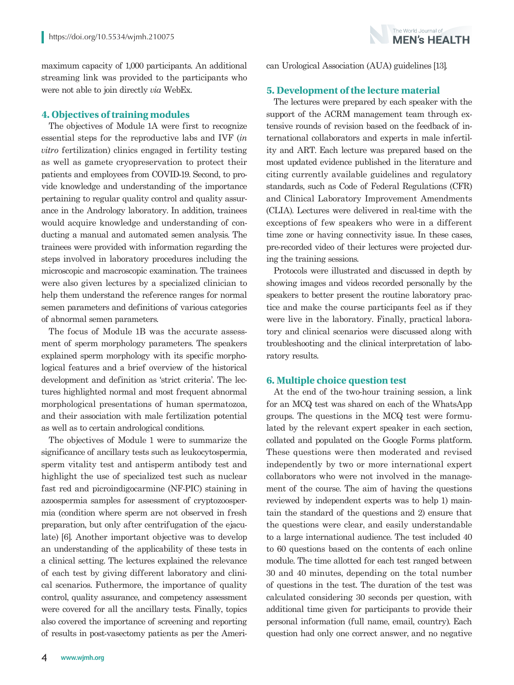maximum capacity of 1,000 participants. An additional streaming link was provided to the participants who were not able to join directly *via* WebEx.

#### **4. Objectives of training modules**

The objectives of Module 1A were first to recognize essential steps for the reproductive labs and IVF (*in vitro* fertilization) clinics engaged in fertility testing as well as gamete cryopreservation to protect their patients and employees from COVID-19. Second, to provide knowledge and understanding of the importance pertaining to regular quality control and quality assurance in the Andrology laboratory. In addition, trainees would acquire knowledge and understanding of conducting a manual and automated semen analysis. The trainees were provided with information regarding the steps involved in laboratory procedures including the microscopic and macroscopic examination. The trainees were also given lectures by a specialized clinician to help them understand the reference ranges for normal semen parameters and definitions of various categories of abnormal semen parameters.

The focus of Module 1B was the accurate assessment of sperm morphology parameters. The speakers explained sperm morphology with its specific morphological features and a brief overview of the historical development and definition as 'strict criteria'. The lectures highlighted normal and most frequent abnormal morphological presentations of human spermatozoa, and their association with male fertilization potential as well as to certain andrological conditions.

The objectives of Module 1 were to summarize the significance of ancillary tests such as leukocytospermia, sperm vitality test and antisperm antibody test and highlight the use of specialized test such as nuclear fast red and picroindigocarmine (NF-PIC) staining in azoospermia samples for assessment of cryptozoospermia (condition where sperm are not observed in fresh preparation, but only after centrifugation of the ejaculate) [6]. Another important objective was to develop an understanding of the applicability of these tests in a clinical setting. The lectures explained the relevance of each test by giving different laboratory and clinical scenarios. Futhermore, the importance of quality control, quality assurance, and competency assessment were covered for all the ancillary tests. Finally, topics also covered the importance of screening and reporting of results in post-vasectomy patients as per the American Urological Association (AUA) guidelines [13].

The World Journal of **MFN's HFAITH** 

#### **5. Development of the lecture material**

The lectures were prepared by each speaker with the support of the ACRM management team through extensive rounds of revision based on the feedback of international collaborators and experts in male infertility and ART. Each lecture was prepared based on the most updated evidence published in the literature and citing currently available guidelines and regulatory standards, such as Code of Federal Regulations (CFR) and Clinical Laboratory Improvement Amendments (CLIA). Lectures were delivered in real-time with the exceptions of few speakers who were in a different time zone or having connectivity issue. In these cases, pre-recorded video of their lectures were projected during the training sessions.

Protocols were illustrated and discussed in depth by showing images and videos recorded personally by the speakers to better present the routine laboratory practice and make the course participants feel as if they were live in the laboratory. Finally, practical laboratory and clinical scenarios were discussed along with troubleshooting and the clinical interpretation of laboratory results.

#### **6. Multiple choice question test**

At the end of the two-hour training session, a link for an MCQ test was shared on each of the WhatsApp groups. The questions in the MCQ test were formulated by the relevant expert speaker in each section, collated and populated on the Google Forms platform. These questions were then moderated and revised independently by two or more international expert collaborators who were not involved in the management of the course. The aim of having the questions reviewed by independent experts was to help 1) maintain the standard of the questions and 2) ensure that the questions were clear, and easily understandable to a large international audience. The test included 40 to 60 questions based on the contents of each online module. The time allotted for each test ranged between 30 and 40 minutes, depending on the total number of questions in the test. The duration of the test was calculated considering 30 seconds per question, with additional time given for participants to provide their personal information (full name, email, country). Each question had only one correct answer, and no negative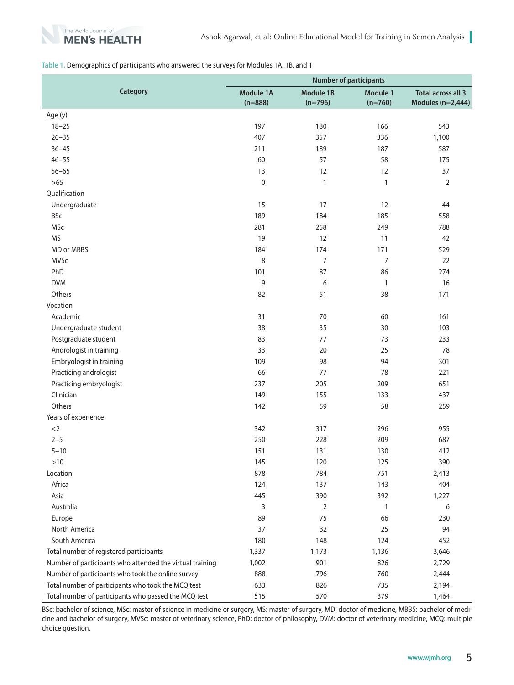

#### **Table 1.** Demographics of participants who answered the surveys for Modules 1A, 1B, and 1

|                                                          | <b>Number of participants</b> |                               |                       |                                                |
|----------------------------------------------------------|-------------------------------|-------------------------------|-----------------------|------------------------------------------------|
| Category                                                 | Module 1A<br>$(n=888)$        | <b>Module 1B</b><br>$(n=796)$ | Module 1<br>$(n=760)$ | <b>Total across all 3</b><br>Modules (n=2,444) |
| Age (y)                                                  |                               |                               |                       |                                                |
| $18 - 25$                                                | 197                           | 180                           | 166                   | 543                                            |
| $26 - 35$                                                | 407                           | 357                           | 336                   | 1,100                                          |
| $36 - 45$                                                | 211                           | 189                           | 187                   | 587                                            |
| $46 - 55$                                                | 60                            | 57                            | 58                    | 175                                            |
| $56 - 65$                                                | 13                            | 12                            | 12                    | 37                                             |
| $>65$                                                    | $\mathbf 0$                   | 1                             | $\mathbf{1}$          | 2                                              |
| Qualification                                            |                               |                               |                       |                                                |
| Undergraduate                                            | 15                            | 17                            | 12                    | 44                                             |
| <b>BSc</b>                                               | 189                           | 184                           | 185                   | 558                                            |
| MSc                                                      | 281                           | 258                           | 249                   | 788                                            |
| <b>MS</b>                                                | 19                            | 12                            | 11                    | 42                                             |
| MD or MBBS                                               | 184                           | 174                           | 171                   | 529                                            |
| <b>MVSc</b>                                              | 8                             | $\overline{7}$                | 7                     | 22                                             |
| PhD                                                      | 101                           | 87                            | 86                    | 274                                            |
| <b>DVM</b>                                               | 9                             | 6                             | 1                     | 16                                             |
| Others                                                   | 82                            | 51                            | 38                    | 171                                            |
| Vocation                                                 |                               |                               |                       |                                                |
| Academic                                                 | 31                            | 70                            | 60                    | 161                                            |
| Undergraduate student                                    | 38                            | 35                            | 30                    | 103                                            |
| Postgraduate student                                     | 83                            | 77                            | 73                    | 233                                            |
| Andrologist in training                                  | 33                            | 20                            | 25                    | 78                                             |
| Embryologist in training                                 | 109                           | 98                            | 94                    | 301                                            |
| Practicing andrologist                                   | 66                            | 77                            | 78                    | 221                                            |
| Practicing embryologist                                  | 237                           | 205                           | 209                   | 651                                            |
| Clinician                                                | 149                           | 155                           | 133                   | 437                                            |
| Others                                                   | 142                           | 59                            | 58                    | 259                                            |
| Years of experience                                      |                               |                               |                       |                                                |
| $<$ 2                                                    | 342                           | 317                           | 296                   | 955                                            |
| $2 - 5$                                                  | 250                           | 228                           | 209                   | 687                                            |
| $5 - 10$                                                 | 151                           | 131                           | 130                   | 412                                            |
| $>10$                                                    | 145                           | 120                           | 125                   | 390                                            |
| Location                                                 | 878                           | 784                           | 751                   | 2,413                                          |
| Africa                                                   | 124                           | 137                           | 143                   | 404                                            |
| Asia                                                     | 445                           | 390                           | 392                   | 1,227                                          |
| Australia                                                | 3                             | 2                             | 1                     | 6                                              |
| Europe                                                   | 89                            | 75                            | 66                    | 230                                            |
| North America                                            | 37                            | 32                            | 25                    | 94                                             |
| South America                                            | 180                           | 148                           | 124                   | 452                                            |
| Total number of registered participants                  | 1,337                         | 1,173                         | 1,136                 | 3,646                                          |
| Number of participants who attended the virtual training | 1,002                         | 901                           | 826                   | 2,729                                          |
| Number of participants who took the online survey        | 888                           | 796                           | 760                   | 2,444                                          |
| Total number of participants who took the MCQ test       | 633                           | 826                           | 735                   | 2,194                                          |
| Total number of participants who passed the MCQ test     | 515                           | 570                           | 379                   | 1,464                                          |

BSc: bachelor of science, MSc: master of science in medicine or surgery, MS: master of surgery, MD: doctor of medicine, MBBS: bachelor of medicine and bachelor of surgery, MVSc: master of veterinary science, PhD: doctor of philosophy, DVM: doctor of veterinary medicine, MCQ: multiple choice question.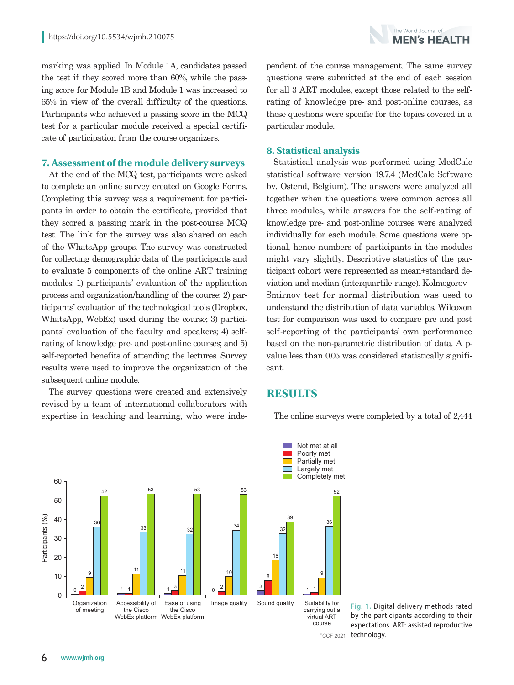marking was applied. In Module 1A, candidates passed the test if they scored more than 60%, while the passing score for Module 1B and Module 1 was increased to 65% in view of the overall difficulty of the questions. Participants who achieved a passing score in the MCQ test for a particular module received a special certificate of participation from the course organizers.

#### **7. Assessment of the module delivery surveys**

At the end of the MCQ test, participants were asked to complete an online survey created on Google Forms. Completing this survey was a requirement for participants in order to obtain the certificate, provided that they scored a passing mark in the post-course MCQ test. The link for the survey was also shared on each of the WhatsApp groups. The survey was constructed for collecting demographic data of the participants and to evaluate 5 components of the online ART training modules: 1) participants' evaluation of the application process and organization/handling of the course; 2) participants' evaluation of the technological tools (Dropbox, WhatsApp, WebEx) used during the course; 3) participants' evaluation of the faculty and speakers; 4) selfrating of knowledge pre- and post-online courses; and 5) self-reported benefits of attending the lectures. Survey results were used to improve the organization of the subsequent online module.

The survey questions were created and extensively revised by a team of international collaborators with expertise in teaching and learning, who were independent of the course management. The same survey questions were submitted at the end of each session for all 3 ART modules, except those related to the selfrating of knowledge pre- and post-online courses, as these questions were specific for the topics covered in a particular module.

#### **8. Statistical analysis**

Statistical analysis was performed using MedCalc statistical software version 19.7.4 (MedCalc Software bv, Ostend, Belgium). The answers were analyzed all together when the questions were common across all three modules, while answers for the self-rating of knowledge pre- and post-online courses were analyzed individually for each module. Some questions were optional, hence numbers of participants in the modules might vary slightly. Descriptive statistics of the participant cohort were represented as mean±standard deviation and median (interquartile range). Kolmogorov– Smirnov test for normal distribution was used to understand the distribution of data variables. Wilcoxon test for comparison was used to compare pre and post self-reporting of the participants' own performance based on the non-parametric distribution of data. A pvalue less than 0.05 was considered statistically significant.

## **RESULTS**



The online surveys were completed by a total of 2,444

CCF 2021 technology. **Fig. 1.** Digital delivery methods rated by the participants according to their expectations. ART: assisted reproductive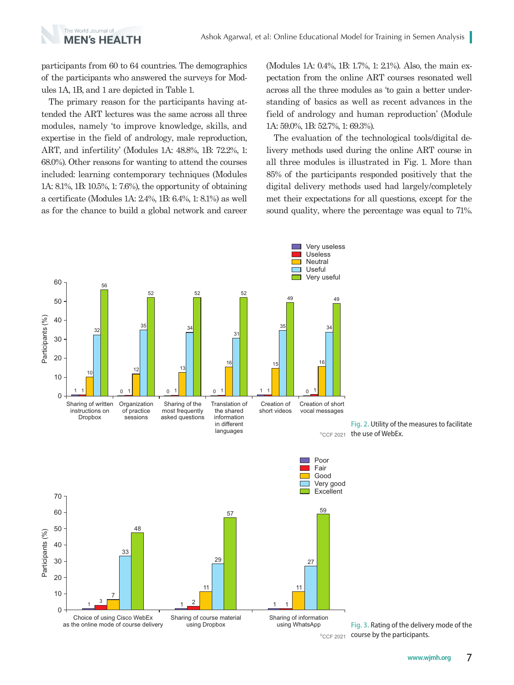

participants from 60 to 64 countries. The demographics of the participants who answered the surveys for Modules 1A, 1B, and 1 are depicted in Table 1.

The primary reason for the participants having attended the ART lectures was the same across all three modules, namely 'to improve knowledge, skills, and expertise in the field of andrology, male reproduction, ART, and infertility' (Modules 1A: 48.8%, 1B: 72.2%, 1: 68.0%). Other reasons for wanting to attend the courses included: learning contemporary techniques (Modules 1A: 8.1%, 1B: 10.5%, 1: 7.6%), the opportunity of obtaining a certificate (Modules 1A: 2.4%, 1B: 6.4%, 1: 8.1%) as well as for the chance to build a global network and career (Modules 1A: 0.4%, 1B: 1.7%, 1: 2.1%). Also, the main expectation from the online ART courses resonated well across all the three modules as 'to gain a better understanding of basics as well as recent advances in the field of andrology and human reproduction' (Module 1A: 59.0%, 1B: 52.7%, 1: 69.3%).

The evaluation of the technological tools/digital delivery methods used during the online ART course in all three modules is illustrated in Fig. 1. More than 85% of the participants responded positively that the digital delivery methods used had largely/completely met their expectations for all questions, except for the sound quality, where the percentage was equal to 71%.

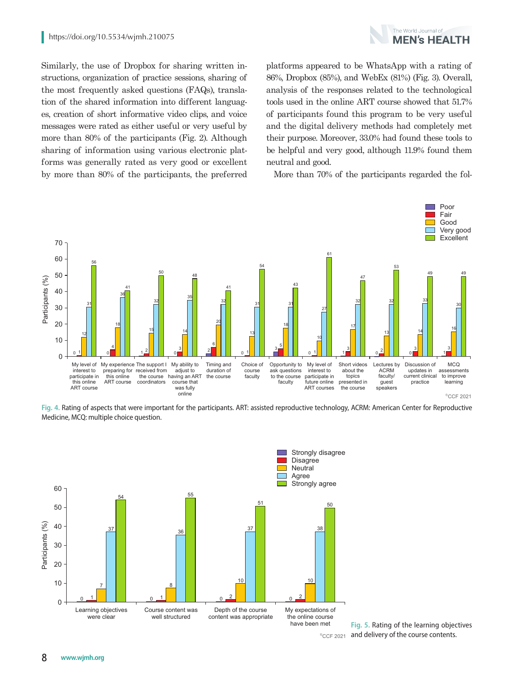

Similarly, the use of Dropbox for sharing written instructions, organization of practice sessions, sharing of the most frequently asked questions (FAQs), translation of the shared information into different languages, creation of short informative video clips, and voice messages were rated as either useful or very useful by more than 80% of the participants (Fig. 2). Although sharing of information using various electronic platforms was generally rated as very good or excellent by more than 80% of the participants, the preferred

platforms appeared to be WhatsApp with a rating of 86%, Dropbox (85%), and WebEx (81%) (Fig. 3). Overall, analysis of the responses related to the technological tools used in the online ART course showed that 51.7% of participants found this program to be very useful and the digital delivery methods had completely met their purpose. Moreover, 33.0% had found these tools to be helpful and very good, although 11.9% found them neutral and good.

More than 70% of the participants regarded the fol-



**Fig. 4.** Rating of aspects that were important for the participants. ART: assisted reproductive technology, ACRM: American Center for Reproductive Medicine, MCQ: multiple choice question.



CCF 2021 and delivery of the course contents. **Fig. 5.** Rating of the learning objectives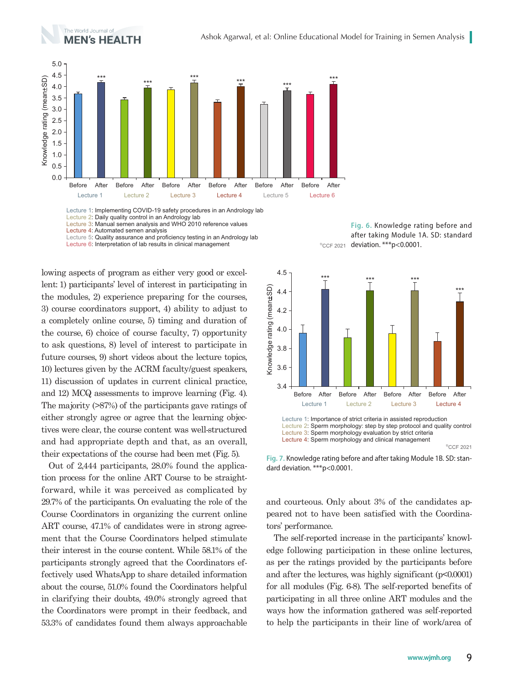

Lecture 3: Manual semen analysis and WHO 2010 reference values Lecture 4: Automated semen analysis

Lecture 5: Quality assurance and proficiency testing in an Andrology lab

Lecture 6: Interpretation of lab results in clinical management  $\epsilon_{\textrm{CCF 2021}}$ 

lowing aspects of program as either very good or excellent: 1) participants' level of interest in participating in the modules, 2) experience preparing for the courses, 3) course coordinators support, 4) ability to adjust to a completely online course, 5) timing and duration of the course, 6) choice of course faculty, 7) opportunity to ask questions, 8) level of interest to participate in future courses, 9) short videos about the lecture topics, 10) lectures given by the ACRM faculty/guest speakers, 11) discussion of updates in current clinical practice, and 12) MCQ assessments to improve learning (Fig. 4). The majority (>87%) of the participants gave ratings of either strongly agree or agree that the learning objectives were clear, the course content was well-structured and had appropriate depth and that, as an overall, their expectations of the course had been met (Fig. 5).

Out of 2,444 participants, 28.0% found the application process for the online ART Course to be straightforward, while it was perceived as complicated by 29.7% of the participants. On evaluating the role of the Course Coordinators in organizing the current online ART course, 47.1% of candidates were in strong agreement that the Course Coordinators helped stimulate their interest in the course content. While 58.1% of the participants strongly agreed that the Coordinators effectively used WhatsApp to share detailed information about the course, 51.0% found the Coordinators helpful in clarifying their doubts, 49.0% strongly agreed that the Coordinators were prompt in their feedback, and 53.3% of candidates found them always approachable

**Fig. 6.** Knowledge rating before and after taking Module 1A. SD: standard  $\degree$ CCF 2021 deviation. \*\*\*p<0.0001.



Lecture 1: Importance of strict criteria in assisted reproduction Lecture 2: Sperm morphology: step by step protocol and quality control Lecture 3: Sperm morphology evaluation by strict criteria Lecture 4: Sperm morphology and clinical management <sup>®</sup>CCF 2021



and courteous. Only about 3% of the candidates appeared not to have been satisfied with the Coordinators' performance.

The self-reported increase in the participants' knowledge following participation in these online lectures, as per the ratings provided by the participants before and after the lectures, was highly significant (p<0.0001) for all modules (Fig. 6-8). The self-reported benefits of participating in all three online ART modules and the ways how the information gathered was self-reported to help the participants in their line of work/area of

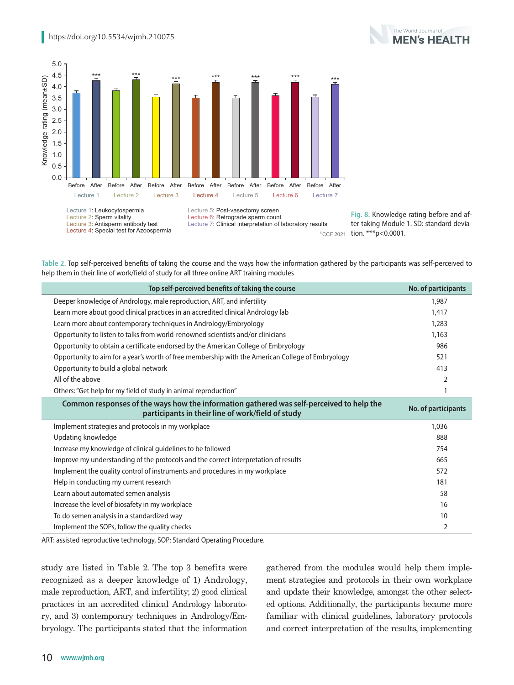

CCF 2021 tion. \*\*\* p<0.0001. **Fig. 8.** Knowledge rating before and after taking Module 1. SD: standard devia-

**Table 2.** Top self-perceived benefits of taking the course and the ways how the information gathered by the participants was self-perceived to help them in their line of work/field of study for all three online ART training modules

| Top self-perceived benefits of taking the course                                                 | No. of participants |
|--------------------------------------------------------------------------------------------------|---------------------|
| Deeper knowledge of Andrology, male reproduction, ART, and infertility                           | 1,987               |
| Learn more about good clinical practices in an accredited clinical Andrology lab                 | 1,417               |
| Learn more about contemporary techniques in Andrology/Embryology                                 | 1,283               |
| Opportunity to listen to talks from world-renowned scientists and/or clinicians                  | 1,163               |
| Opportunity to obtain a certificate endorsed by the American College of Embryology               | 986                 |
| Opportunity to aim for a year's worth of free membership with the American College of Embryology | 521                 |
| Opportunity to build a global network                                                            | 413                 |
| All of the above                                                                                 | 2                   |
| Others: "Get help for my field of study in animal reproduction"                                  |                     |
| Common responses of the ways how the information gathered was self-perceived to help the         |                     |
| participants in their line of work/field of study                                                | No. of participants |
| Implement strategies and protocols in my workplace                                               | 1,036               |
| Updating knowledge                                                                               | 888                 |
| Increase my knowledge of clinical guidelines to be followed                                      | 754                 |
| Improve my understanding of the protocols and the correct interpretation of results              | 665                 |
| Implement the quality control of instruments and procedures in my workplace                      | 572                 |
| Help in conducting my current research                                                           | 181                 |
| Learn about automated semen analysis                                                             | 58                  |
| Increase the level of biosafety in my workplace                                                  | 16                  |
| To do semen analysis in a standardized way                                                       | 10                  |

ART: assisted reproductive technology, SOP: Standard Operating Procedure.

study are listed in Table 2. The top 3 benefits were recognized as a deeper knowledge of 1) Andrology, male reproduction, ART, and infertility; 2) good clinical practices in an accredited clinical Andrology laboratory, and 3) contemporary techniques in Andrology/Embryology. The participants stated that the information

gathered from the modules would help them implement strategies and protocols in their own workplace and update their knowledge, amongst the other selected options. Additionally, the participants became more familiar with clinical guidelines, laboratory protocols and correct interpretation of the results, implementing

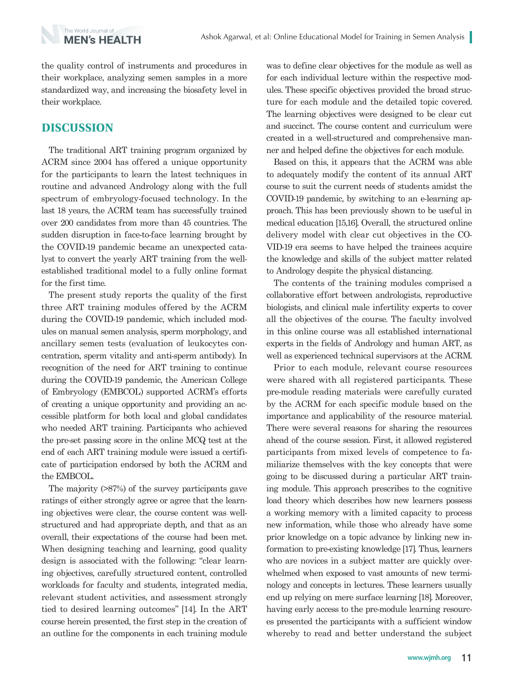the quality control of instruments and procedures in their workplace, analyzing semen samples in a more standardized way, and increasing the biosafety level in their workplace.

## **DISCUSSION**

The World Journal of **MEN's HEALTH** 

The traditional ART training program organized by ACRM since 2004 has offered a unique opportunity for the participants to learn the latest techniques in routine and advanced Andrology along with the full spectrum of embryology-focused technology. In the last 18 years, the ACRM team has successfully trained over 200 candidates from more than 45 countries. The sudden disruption in face-to-face learning brought by the COVID-19 pandemic became an unexpected catalyst to convert the yearly ART training from the wellestablished traditional model to a fully online format for the first time.

The present study reports the quality of the first three ART training modules offered by the ACRM during the COVID-19 pandemic, which included modules on manual semen analysis, sperm morphology, and ancillary semen tests (evaluation of leukocytes concentration, sperm vitality and anti-sperm antibody). In recognition of the need for ART training to continue during the COVID-19 pandemic, the American College of Embryology (EMBCOL) supported ACRM's efforts of creating a unique opportunity and providing an accessible platform for both local and global candidates who needed ART training. Participants who achieved the pre-set passing score in the online MCQ test at the end of each ART training module were issued a certificate of participation endorsed by both the ACRM and the EMBCOL.

The majority (>87%) of the survey participants gave ratings of either strongly agree or agree that the learning objectives were clear, the course content was wellstructured and had appropriate depth, and that as an overall, their expectations of the course had been met. When designing teaching and learning, good quality design is associated with the following: "clear learning objectives, carefully structured content, controlled workloads for faculty and students, integrated media, relevant student activities, and assessment strongly tied to desired learning outcomes" [14]. In the ART course herein presented, the first step in the creation of an outline for the components in each training module

was to define clear objectives for the module as well as for each individual lecture within the respective modules. These specific objectives provided the broad structure for each module and the detailed topic covered. The learning objectives were designed to be clear cut and succinct. The course content and curriculum were created in a well-structured and comprehensive manner and helped define the objectives for each module.

Based on this, it appears that the ACRM was able to adequately modify the content of its annual ART course to suit the current needs of students amidst the COVID-19 pandemic, by switching to an e-learning approach. This has been previously shown to be useful in medical education [15,16]. Overall, the structured online delivery model with clear cut objectives in the CO-VID-19 era seems to have helped the trainees acquire the knowledge and skills of the subject matter related to Andrology despite the physical distancing.

The contents of the training modules comprised a collaborative effort between andrologists, reproductive biologists, and clinical male infertility experts to cover all the objectives of the course. The faculty involved in this online course was all established international experts in the fields of Andrology and human ART, as well as experienced technical supervisors at the ACRM.

Prior to each module, relevant course resources were shared with all registered participants. These pre-module reading materials were carefully curated by the ACRM for each specific module based on the importance and applicability of the resource material. There were several reasons for sharing the resources ahead of the course session. First, it allowed registered participants from mixed levels of competence to familiarize themselves with the key concepts that were going to be discussed during a particular ART training module. This approach prescribes to the cognitive load theory which describes how new learners possess a working memory with a limited capacity to process new information, while those who already have some prior knowledge on a topic advance by linking new information to pre-existing knowledge [17]. Thus, learners who are novices in a subject matter are quickly overwhelmed when exposed to vast amounts of new terminology and concepts in lectures. These learners usually end up relying on mere surface learning [18]. Moreover, having early access to the pre-module learning resources presented the participants with a sufficient window whereby to read and better understand the subject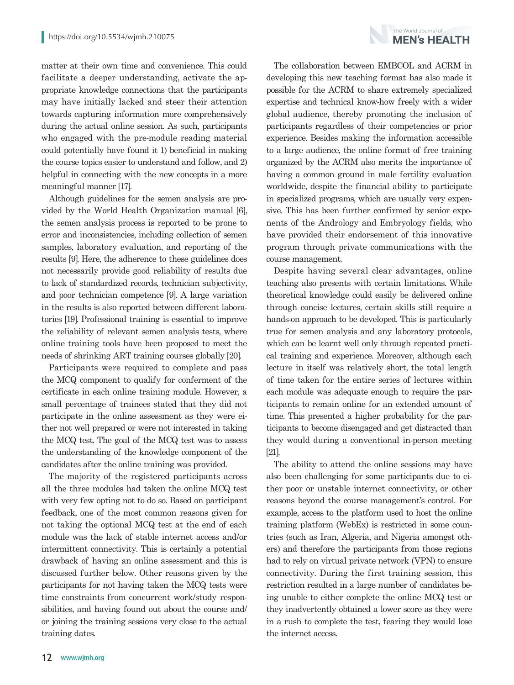matter at their own time and convenience. This could facilitate a deeper understanding, activate the appropriate knowledge connections that the participants may have initially lacked and steer their attention towards capturing information more comprehensively during the actual online session. As such, participants who engaged with the pre-module reading material could potentially have found it 1) beneficial in making the course topics easier to understand and follow, and 2) helpful in connecting with the new concepts in a more meaningful manner [17].

Although guidelines for the semen analysis are provided by the World Health Organization manual [6], the semen analysis process is reported to be prone to error and inconsistencies, including collection of semen samples, laboratory evaluation, and reporting of the results [9]. Here, the adherence to these guidelines does not necessarily provide good reliability of results due to lack of standardized records, technician subjectivity, and poor technician competence [9]. A large variation in the results is also reported between different laboratories [19]. Professional training is essential to improve the reliability of relevant semen analysis tests, where online training tools have been proposed to meet the needs of shrinking ART training courses globally [20].

Participants were required to complete and pass the MCQ component to qualify for conferment of the certificate in each online training module. However, a small percentage of trainees stated that they did not participate in the online assessment as they were either not well prepared or were not interested in taking the MCQ test. The goal of the MCQ test was to assess the understanding of the knowledge component of the candidates after the online training was provided.

The majority of the registered participants across all the three modules had taken the online MCQ test with very few opting not to do so. Based on participant feedback, one of the most common reasons given for not taking the optional MCQ test at the end of each module was the lack of stable internet access and/or intermittent connectivity. This is certainly a potential drawback of having an online assessment and this is discussed further below. Other reasons given by the participants for not having taken the MCQ tests were time constraints from concurrent work/study responsibilities, and having found out about the course and/ or joining the training sessions very close to the actual training dates.



The World Journal of **MFN's HFAITH** 

Despite having several clear advantages, online teaching also presents with certain limitations. While theoretical knowledge could easily be delivered online through concise lectures, certain skills still require a hands-on approach to be developed. This is particularly true for semen analysis and any laboratory protocols, which can be learnt well only through repeated practical training and experience. Moreover, although each lecture in itself was relatively short, the total length of time taken for the entire series of lectures within each module was adequate enough to require the participants to remain online for an extended amount of time. This presented a higher probability for the participants to become disengaged and get distracted than they would during a conventional in-person meeting [21].

The ability to attend the online sessions may have also been challenging for some participants due to either poor or unstable internet connectivity, or other reasons beyond the course management's control. For example, access to the platform used to host the online training platform (WebEx) is restricted in some countries (such as Iran, Algeria, and Nigeria amongst others) and therefore the participants from those regions had to rely on virtual private network (VPN) to ensure connectivity. During the first training session, this restriction resulted in a large number of candidates being unable to either complete the online MCQ test or they inadvertently obtained a lower score as they were in a rush to complete the test, fearing they would lose the internet access.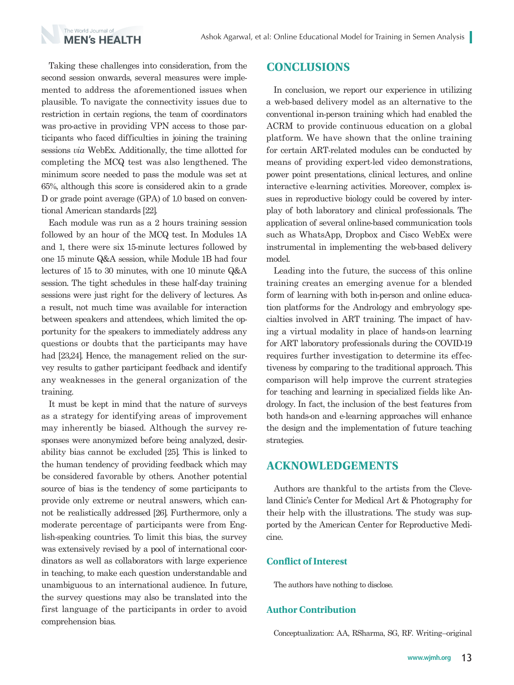

Taking these challenges into consideration, from the second session onwards, several measures were implemented to address the aforementioned issues when plausible. To navigate the connectivity issues due to restriction in certain regions, the team of coordinators was pro-active in providing VPN access to those participants who faced difficulties in joining the training sessions *via* WebEx. Additionally, the time allotted for completing the MCQ test was also lengthened. The minimum score needed to pass the module was set at 65%, although this score is considered akin to a grade D or grade point average (GPA) of 1.0 based on conventional American standards [22].

Each module was run as a 2 hours training session followed by an hour of the MCQ test. In Modules 1A and 1, there were six 15-minute lectures followed by one 15 minute Q&A session, while Module 1B had four lectures of 15 to 30 minutes, with one 10 minute Q&A session. The tight schedules in these half-day training sessions were just right for the delivery of lectures. As a result, not much time was available for interaction between speakers and attendees, which limited the opportunity for the speakers to immediately address any questions or doubts that the participants may have had [23,24]. Hence, the management relied on the survey results to gather participant feedback and identify any weaknesses in the general organization of the training.

It must be kept in mind that the nature of surveys as a strategy for identifying areas of improvement may inherently be biased. Although the survey responses were anonymized before being analyzed, desirability bias cannot be excluded [25]. This is linked to the human tendency of providing feedback which may be considered favorable by others. Another potential source of bias is the tendency of some participants to provide only extreme or neutral answers, which cannot be realistically addressed [26]. Furthermore, only a moderate percentage of participants were from English-speaking countries. To limit this bias, the survey was extensively revised by a pool of international coordinators as well as collaborators with large experience in teaching, to make each question understandable and unambiguous to an international audience. In future, the survey questions may also be translated into the first language of the participants in order to avoid comprehension bias.

## **CONCLUSIONS**

In conclusion, we report our experience in utilizing a web-based delivery model as an alternative to the conventional in-person training which had enabled the ACRM to provide continuous education on a global platform. We have shown that the online training for certain ART-related modules can be conducted by means of providing expert-led video demonstrations, power point presentations, clinical lectures, and online interactive e-learning activities. Moreover, complex issues in reproductive biology could be covered by interplay of both laboratory and clinical professionals. The application of several online-based communication tools such as WhatsApp, Dropbox and Cisco WebEx were instrumental in implementing the web-based delivery model.

Leading into the future, the success of this online training creates an emerging avenue for a blended form of learning with both in-person and online education platforms for the Andrology and embryology specialties involved in ART training. The impact of having a virtual modality in place of hands-on learning for ART laboratory professionals during the COVID-19 requires further investigation to determine its effectiveness by comparing to the traditional approach. This comparison will help improve the current strategies for teaching and learning in specialized fields like Andrology. In fact, the inclusion of the best features from both hands-on and e-learning approaches will enhance the design and the implementation of future teaching strategies.

## **ACKNOWLEDGEMENTS**

Authors are thankful to the artists from the Cleveland Clinic's Center for Medical Art & Photography for their help with the illustrations. The study was supported by the American Center for Reproductive Medicine.

#### **Conflict of Interest**

The authors have nothing to disclose.

#### **Author Contribution**

Conceptualization: AA, RSharma, SG, RF. Writing–original